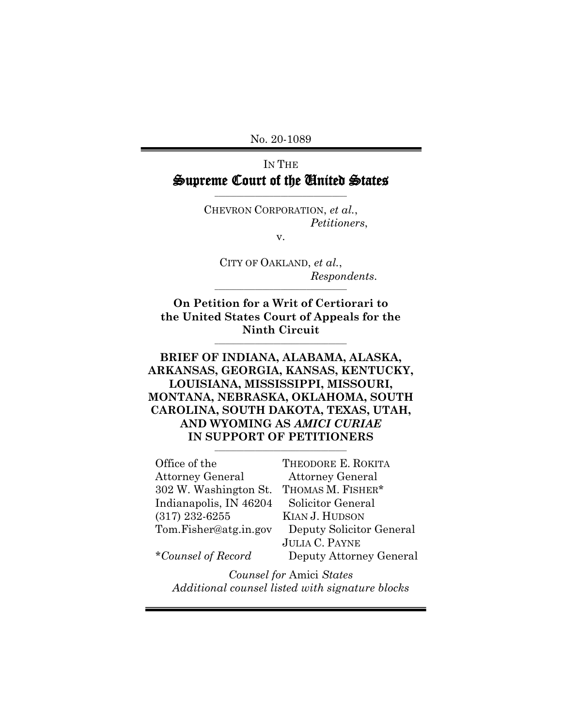No. 20-1089

# IN THE Supreme Court of the United States

\_\_\_\_\_\_\_\_\_\_\_\_\_\_\_\_\_\_\_\_\_\_\_\_\_\_\_\_\_\_\_\_\_\_\_\_

CHEVRON CORPORATION, *et al.*, *Petitioners*,

v.

CITY OF OAKLAND, *et al.*, *Respondents*.

**On Petition for a Writ of Certiorari to the United States Court of Appeals for the Ninth Circuit**

**\_\_\_\_\_\_\_\_\_\_\_\_\_\_\_\_\_\_\_\_\_\_\_\_\_\_\_\_\_\_\_\_\_\_\_\_**

\_\_\_\_\_\_\_\_\_\_\_\_\_\_\_\_\_\_\_\_\_\_\_\_\_\_\_\_\_\_\_\_\_\_\_\_

### **BRIEF OF INDIANA, ALABAMA, ALASKA, ARKANSAS, GEORGIA, KANSAS, KENTUCKY, LOUISIANA, MISSISSIPPI, MISSOURI, MONTANA, NEBRASKA, OKLAHOMA, SOUTH CAROLINA, SOUTH DAKOTA, TEXAS, UTAH, AND WYOMING AS** *AMICI CURIAE* **IN SUPPORT OF PETITIONERS \_\_\_\_\_\_\_\_\_\_\_\_\_\_\_\_\_\_\_\_\_\_\_\_\_\_\_\_\_\_\_\_\_\_\_\_**

| Office of the                   | THEODORE E. ROKITA       |  |
|---------------------------------|--------------------------|--|
| <b>Attorney General</b>         | <b>Attorney General</b>  |  |
| 302 W. Washington St.           | THOMAS M. FISHER*        |  |
| Indianapolis, IN 46204          | Solicitor General        |  |
| $(317)$ 232-6255                | KIAN J. HUDSON           |  |
| Tom.Fisher@atg.in.gov           | Deputy Solicitor General |  |
|                                 | <b>JULIA C. PAYNE</b>    |  |
| *Counsel of Record              | Deputy Attorney General  |  |
| <b>Counsel for Amici States</b> |                          |  |

*Additional counsel listed with signature blocks*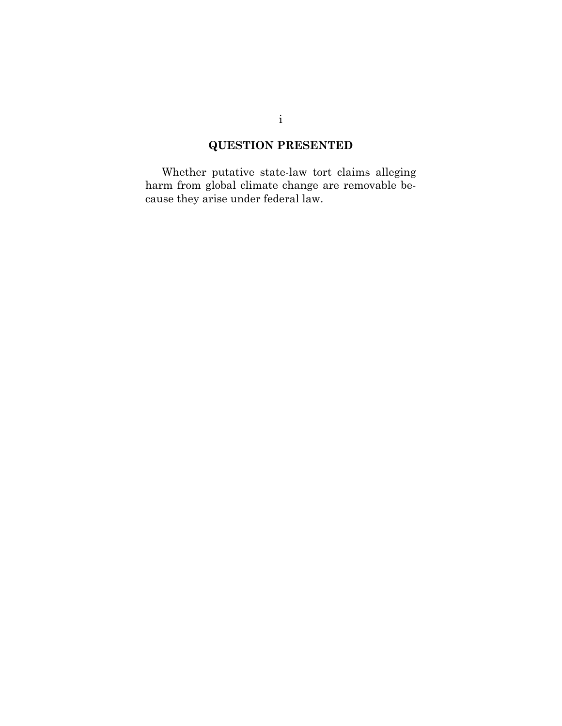# **QUESTION PRESENTED**

Whether putative state-law tort claims alleging harm from global climate change are removable because they arise under federal law.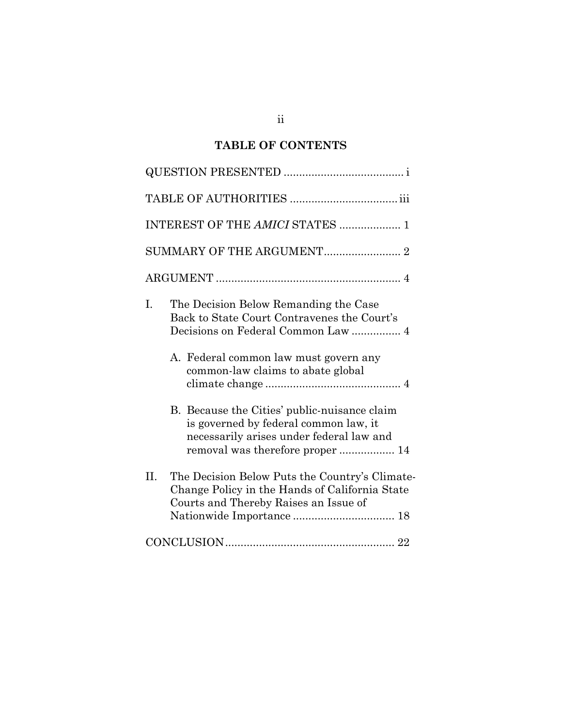# **TABLE OF CONTENTS**

| INTEREST OF THE AMICI STATES  1                                                                                                                                                                                |
|----------------------------------------------------------------------------------------------------------------------------------------------------------------------------------------------------------------|
|                                                                                                                                                                                                                |
|                                                                                                                                                                                                                |
| I.<br>The Decision Below Remanding the Case<br>Back to State Court Contravenes the Court's<br>Decisions on Federal Common Law  4<br>A. Federal common law must govern any<br>common-law claims to abate global |
| B. Because the Cities' public-nuisance claim<br>is governed by federal common law, it<br>necessarily arises under federal law and<br>removal was therefore proper  14                                          |
| H.<br>The Decision Below Puts the Country's Climate-<br>Change Policy in the Hands of California State<br>Courts and Thereby Raises an Issue of                                                                |
|                                                                                                                                                                                                                |

ii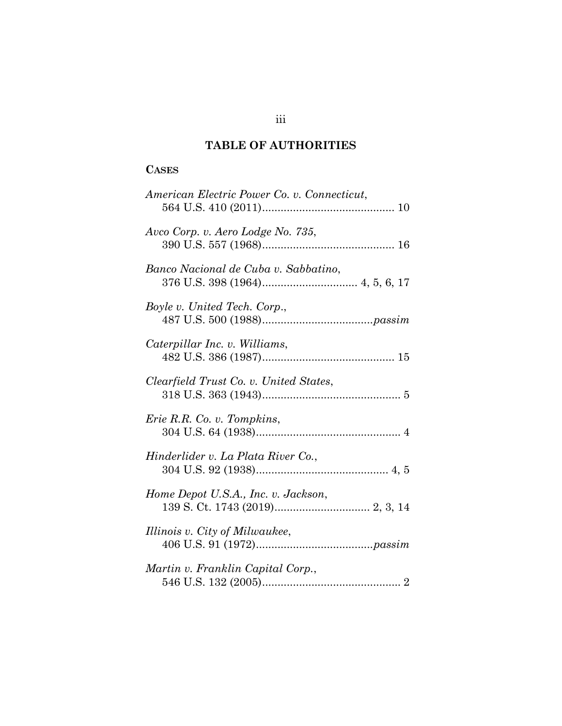# **TABLE OF AUTHORITIES**

## **CASES**

| American Electric Power Co. v. Connecticut, |
|---------------------------------------------|
| Avco Corp. v. Aero Lodge No. 735,           |
| Banco Nacional de Cuba v. Sabbatino,        |
| Boyle v. United Tech. Corp.,                |
| Caterpillar Inc. v. Williams,               |
| Clearfield Trust Co. v. United States,      |
| Erie R.R. Co. v. Tompkins,                  |
| Hinderlider v. La Plata River Co.,          |
| Home Depot U.S.A., Inc. v. Jackson,         |
| Illinois v. City of Milwaukee,              |
| Martin v. Franklin Capital Corp.,           |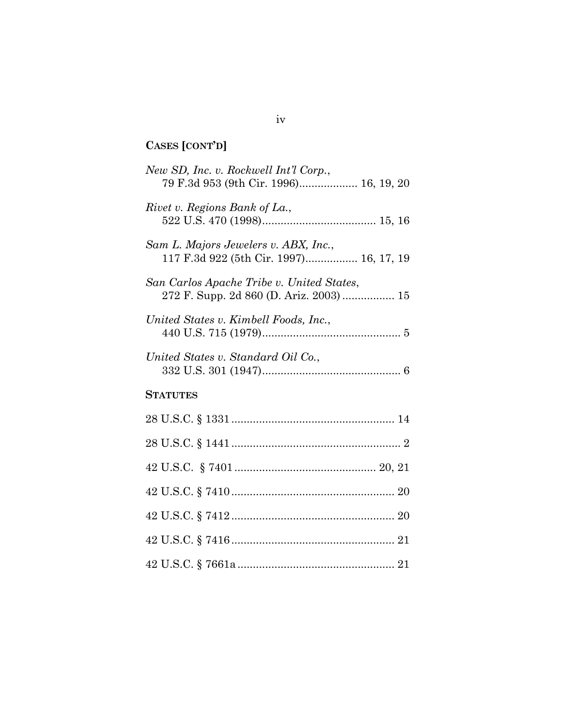# **CASES [CONT'D]**

| New SD, Inc. v. Rockwell Int'l Corp.,<br>79 F.3d 953 (9th Cir. 1996) 16, 19, 20      |
|--------------------------------------------------------------------------------------|
| Rivet v. Regions Bank of La.,                                                        |
| Sam L. Majors Jewelers v. ABX, Inc.,<br>117 F.3d 922 (5th Cir. 1997) 16, 17, 19      |
| San Carlos Apache Tribe v. United States,<br>272 F. Supp. 2d 860 (D. Ariz. 2003)  15 |
| United States v. Kimbell Foods, Inc.,                                                |
| United States v. Standard Oil Co.,                                                   |
| <b>STATUTES</b>                                                                      |
|                                                                                      |
|                                                                                      |
|                                                                                      |
|                                                                                      |
|                                                                                      |
|                                                                                      |
|                                                                                      |

iv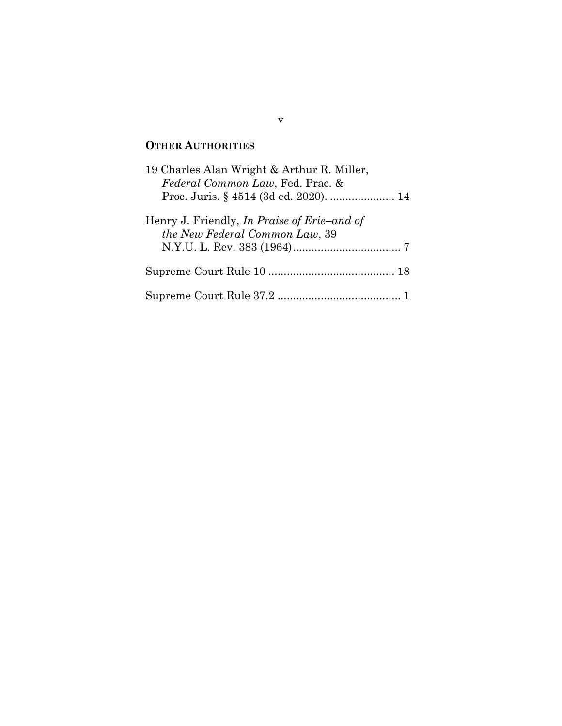## **OTHER AUTHORITIES**

| 19 Charles Alan Wright & Arthur R. Miller,<br>Federal Common Law, Fed. Prac. &<br>Proc. Juris. § 4514 (3d ed. 2020).  14 |  |
|--------------------------------------------------------------------------------------------------------------------------|--|
| Henry J. Friendly, <i>In Praise of Erie–and of</i><br>the New Federal Common Law, 39                                     |  |
|                                                                                                                          |  |
|                                                                                                                          |  |

v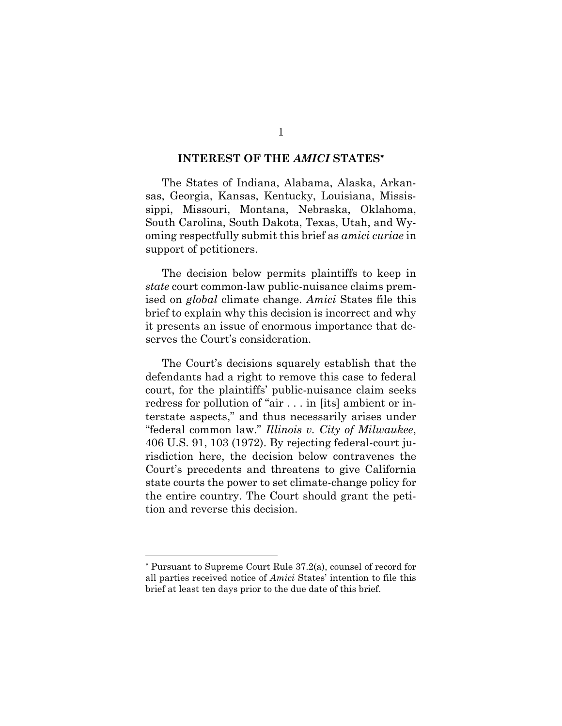#### **INTEREST OF THE** *AMICI* **STATES**

The States of Indiana, Alabama, Alaska, Arkansas, Georgia, Kansas, Kentucky, Louisiana, Mississippi, Missouri, Montana, Nebraska, Oklahoma, South Carolina, South Dakota, Texas, Utah, and Wyoming respectfully submit this brief as *amici curiae* in support of petitioners.

The decision below permits plaintiffs to keep in *state* court common-law public-nuisance claims premised on *global* climate change. *Amici* States file this brief to explain why this decision is incorrect and why it presents an issue of enormous importance that deserves the Court's consideration.

<span id="page-6-0"></span>The Court's decisions squarely establish that the defendants had a right to remove this case to federal court, for the plaintiffs' public-nuisance claim seeks redress for pollution of "air . . . in [its] ambient or interstate aspects," and thus necessarily arises under "federal common law." *Illinois v. City of Milwaukee*, 406 U.S. 91, 103 (1972). By rejecting federal-court jurisdiction here, the decision below contravenes the Court's precedents and threatens to give California state courts the power to set climate-change policy for the entire country. The Court should grant the petition and reverse this decision.

<span id="page-6-1"></span>Pursuant to Supreme Court Rule 37.2(a), counsel of record for all parties received notice of *Amici* States' intention to file this brief at least ten days prior to the due date of this brief.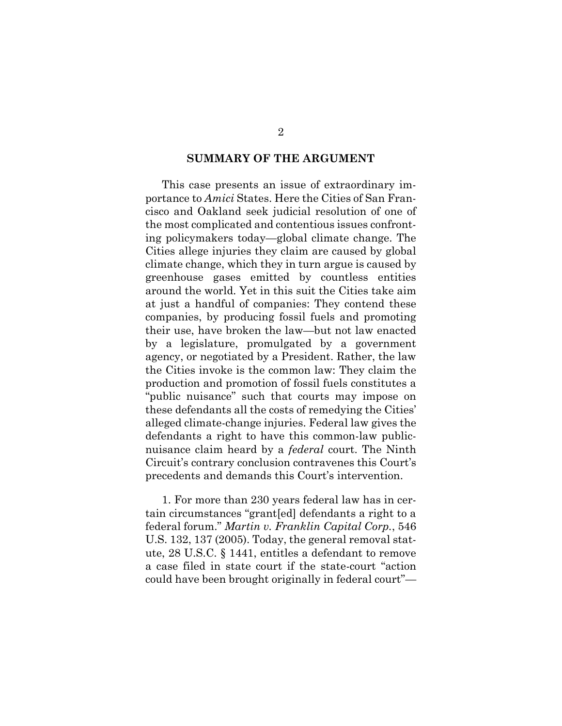#### **SUMMARY OF THE ARGUMENT**

This case presents an issue of extraordinary importance to *Amici* States. Here the Cities of San Francisco and Oakland seek judicial resolution of one of the most complicated and contentious issues confronting policymakers today—global climate change. The Cities allege injuries they claim are caused by global climate change, which they in turn argue is caused by greenhouse gases emitted by countless entities around the world. Yet in this suit the Cities take aim at just a handful of companies: They contend these companies, by producing fossil fuels and promoting their use, have broken the law—but not law enacted by a legislature, promulgated by a government agency, or negotiated by a President. Rather, the law the Cities invoke is the common law: They claim the production and promotion of fossil fuels constitutes a "public nuisance" such that courts may impose on these defendants all the costs of remedying the Cities' alleged climate-change injuries. Federal law gives the defendants a right to have this common-law publicnuisance claim heard by a *federal* court. The Ninth Circuit's contrary conclusion contravenes this Court's precedents and demands this Court's intervention.

<span id="page-7-1"></span><span id="page-7-0"></span>1. For more than 230 years federal law has in certain circumstances "grant[ed] defendants a right to a federal forum." *Martin v. Franklin Capital Corp.*, 546 U.S. 132, 137 (2005). Today, the general removal statute, 28 U.S.C. § 1441, entitles a defendant to remove a case filed in state court if the state-court "action could have been brought originally in federal court"—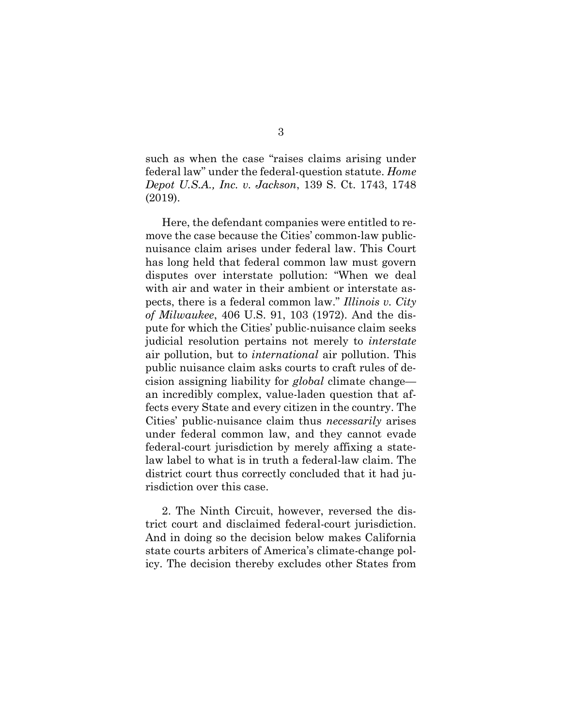<span id="page-8-0"></span>such as when the case "raises claims arising under federal law" under the federal-question statute. *Home Depot U.S.A., Inc. v. Jackson*, 139 S. Ct. 1743, 1748 (2019).

Here, the defendant companies were entitled to remove the case because the Cities' common-law publicnuisance claim arises under federal law. This Court has long held that federal common law must govern disputes over interstate pollution: "When we deal with air and water in their ambient or interstate aspects, there is a federal common law." *Illinois v. City of Milwaukee*, 406 U.S. 91, 103 (1972). And the dispute for which the Cities' public-nuisance claim seeks judicial resolution pertains not merely to *interstate*  air pollution, but to *international* air pollution. This public nuisance claim asks courts to craft rules of decision assigning liability for *global* climate change an incredibly complex, value-laden question that affects every State and every citizen in the country. The Cities' public-nuisance claim thus *necessarily* arises under federal common law, and they cannot evade federal-court jurisdiction by merely affixing a statelaw label to what is in truth a federal-law claim. The district court thus correctly concluded that it had jurisdiction over this case.

2. The Ninth Circuit, however, reversed the district court and disclaimed federal-court jurisdiction. And in doing so the decision below makes California state courts arbiters of America's climate-change policy. The decision thereby excludes other States from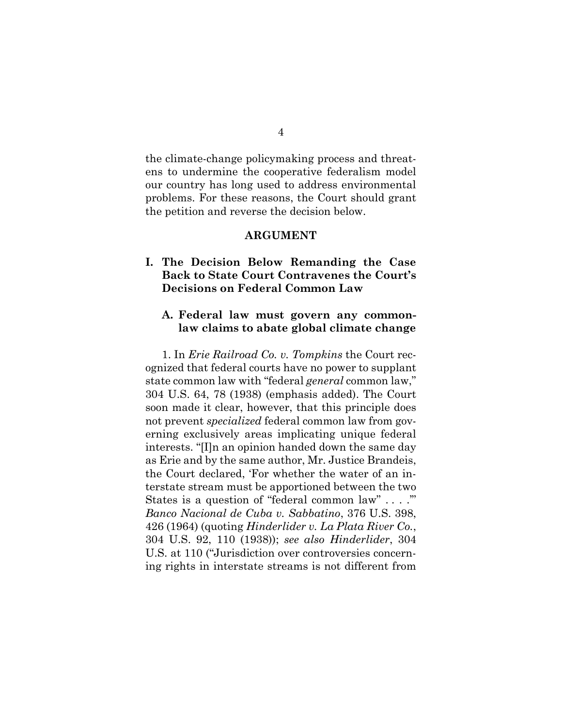the climate-change policymaking process and threatens to undermine the cooperative federalism model our country has long used to address environmental problems. For these reasons, the Court should grant the petition and reverse the decision below.

#### **ARGUMENT**

## **I. The Decision Below Remanding the Case Back to State Court Contravenes the Court's Decisions on Federal Common Law**

#### **A. Federal law must govern any commonlaw claims to abate global climate change**

<span id="page-9-2"></span><span id="page-9-1"></span><span id="page-9-0"></span>1. In *Erie Railroad Co. v. Tompkins* the Court recognized that federal courts have no power to supplant state common law with "federal *general* common law," 304 U.S. 64, 78 (1938) (emphasis added). The Court soon made it clear, however, that this principle does not prevent *specialized* federal common law from governing exclusively areas implicating unique federal interests. "[I]n an opinion handed down the same day as Erie and by the same author, Mr. Justice Brandeis, the Court declared, 'For whether the water of an interstate stream must be apportioned between the two States is a question of "federal common law" . . . .'" *Banco Nacional de Cuba v. Sabbatino*, 376 U.S. 398, 426 (1964) (quoting *Hinderlider v. La Plata River Co.*, 304 U.S. 92, 110 (1938)); *see also Hinderlider*, 304 U.S. at 110 ("Jurisdiction over controversies concerning rights in interstate streams is not different from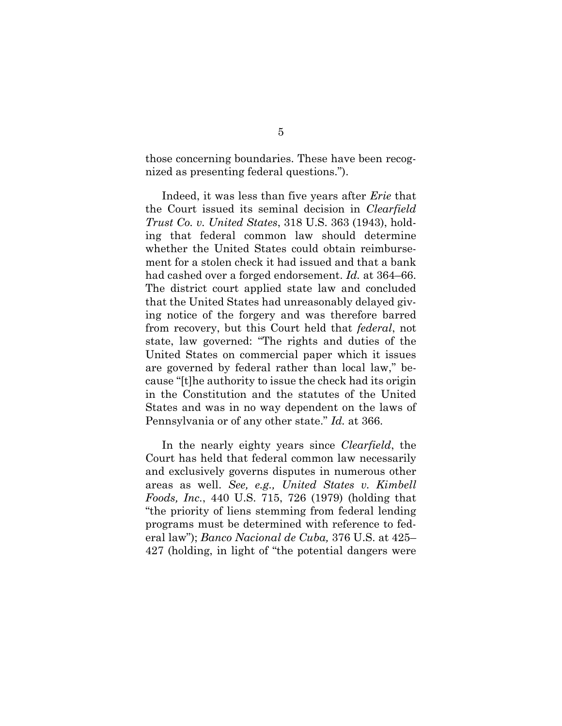those concerning boundaries. These have been recognized as presenting federal questions.").

<span id="page-10-1"></span>Indeed, it was less than five years after *Erie* that the Court issued its seminal decision in *Clearfield Trust Co. v. United States*, 318 U.S. 363 (1943), holding that federal common law should determine whether the United States could obtain reimbursement for a stolen check it had issued and that a bank had cashed over a forged endorsement. *Id.* at 364–66. The district court applied state law and concluded that the United States had unreasonably delayed giving notice of the forgery and was therefore barred from recovery, but this Court held that *federal*, not state, law governed: "The rights and duties of the United States on commercial paper which it issues are governed by federal rather than local law," because "[t]he authority to issue the check had its origin in the Constitution and the statutes of the United States and was in no way dependent on the laws of Pennsylvania or of any other state." *Id.* at 366.

<span id="page-10-2"></span><span id="page-10-0"></span>In the nearly eighty years since *Clearfield*, the Court has held that federal common law necessarily and exclusively governs disputes in numerous other areas as well. *See, e.g., United States v. Kimbell Foods, Inc.*, 440 U.S. 715, 726 (1979) (holding that "the priority of liens stemming from federal lending programs must be determined with reference to federal law"); *Banco Nacional de Cuba,* 376 U.S. at 425– 427 (holding, in light of "the potential dangers were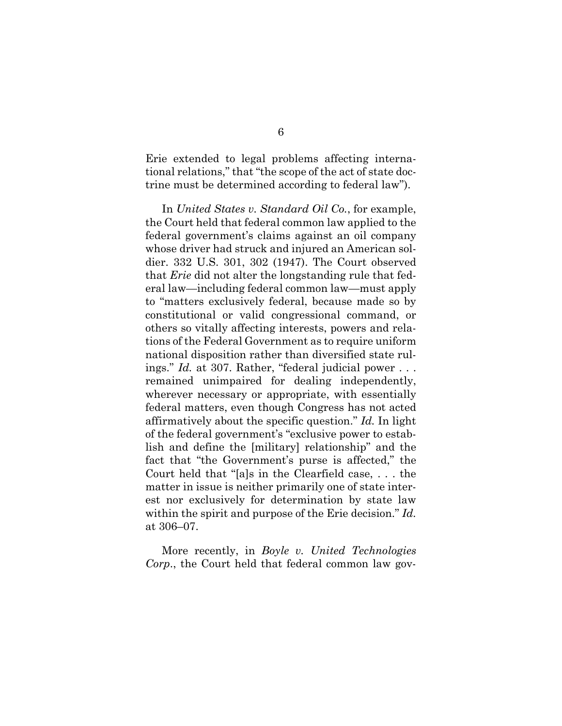Erie extended to legal problems affecting international relations," that "the scope of the act of state doctrine must be determined according to federal law").

<span id="page-11-1"></span>In *United States v. Standard Oil Co.*, for example, the Court held that federal common law applied to the federal government's claims against an oil company whose driver had struck and injured an American soldier. 332 U.S. 301, 302 (1947). The Court observed that *Erie* did not alter the longstanding rule that federal law—including federal common law—must apply to "matters exclusively federal, because made so by constitutional or valid congressional command, or others so vitally affecting interests, powers and relations of the Federal Government as to require uniform national disposition rather than diversified state rulings." *Id.* at 307. Rather, "federal judicial power . . . remained unimpaired for dealing independently, wherever necessary or appropriate, with essentially federal matters, even though Congress has not acted affirmatively about the specific question." *Id.* In light of the federal government's "exclusive power to establish and define the [military] relationship" and the fact that "the Government's purse is affected," the Court held that "[a]s in the Clearfield case, . . . the matter in issue is neither primarily one of state interest nor exclusively for determination by state law within the spirit and purpose of the Erie decision." *Id.*  at 306–07.

<span id="page-11-0"></span>More recently, in *Boyle v. United Technologies Corp*., the Court held that federal common law gov-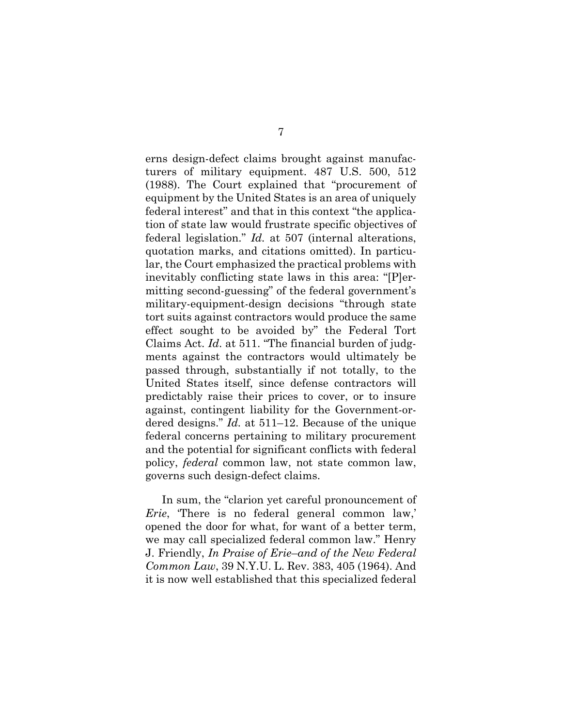erns design-defect claims brought against manufacturers of military equipment. 487 U.S. 500, 512 (1988). The Court explained that "procurement of equipment by the United States is an area of uniquely federal interest" and that in this context "the application of state law would frustrate specific objectives of federal legislation." *Id.* at 507 (internal alterations, quotation marks, and citations omitted). In particular, the Court emphasized the practical problems with inevitably conflicting state laws in this area: "[P]ermitting second-guessing" of the federal government's military-equipment-design decisions "through state tort suits against contractors would produce the same effect sought to be avoided by" the Federal Tort Claims Act. *Id*. at 511. "The financial burden of judgments against the contractors would ultimately be passed through, substantially if not totally, to the United States itself, since defense contractors will predictably raise their prices to cover, or to insure against, contingent liability for the Government-ordered designs." *Id.* at 511–12. Because of the unique federal concerns pertaining to military procurement and the potential for significant conflicts with federal policy, *federal* common law, not state common law, governs such design-defect claims.

<span id="page-12-0"></span>In sum, the "clarion yet careful pronouncement of *Erie*, 'There is no federal general common law,' opened the door for what, for want of a better term, we may call specialized federal common law." Henry J. Friendly, *In Praise of Erie*–*and of the New Federal Common Law*, 39 N.Y.U. L. Rev. 383, 405 (1964). And it is now well established that this specialized federal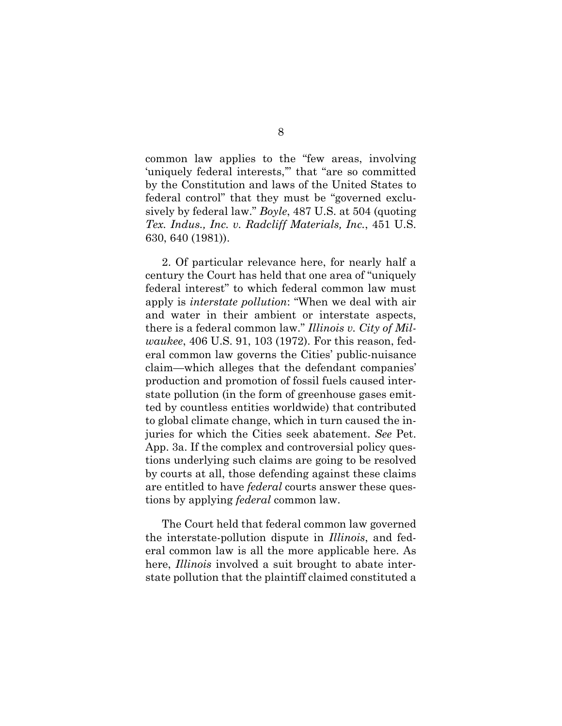common law applies to the "few areas, involving 'uniquely federal interests,'" that "are so committed by the Constitution and laws of the United States to federal control" that they must be "governed exclusively by federal law." *Boyle*, 487 U.S. at 504 (quoting *Tex. Indus., Inc. v. Radcliff Materials, Inc.*, 451 U.S. 630, 640 (1981)).

2. Of particular relevance here, for nearly half a century the Court has held that one area of "uniquely federal interest" to which federal common law must apply is *interstate pollution*: "When we deal with air and water in their ambient or interstate aspects, there is a federal common law." *Illinois v. City of Milwaukee*, 406 U.S. 91, 103 (1972). For this reason, federal common law governs the Cities' public-nuisance claim—which alleges that the defendant companies' production and promotion of fossil fuels caused interstate pollution (in the form of greenhouse gases emitted by countless entities worldwide) that contributed to global climate change, which in turn caused the injuries for which the Cities seek abatement. *See* Pet. App. 3a. If the complex and controversial policy questions underlying such claims are going to be resolved by courts at all, those defending against these claims are entitled to have *federal* courts answer these questions by applying *federal* common law.

The Court held that federal common law governed the interstate-pollution dispute in *Illinois*, and federal common law is all the more applicable here. As here, *Illinois* involved a suit brought to abate interstate pollution that the plaintiff claimed constituted a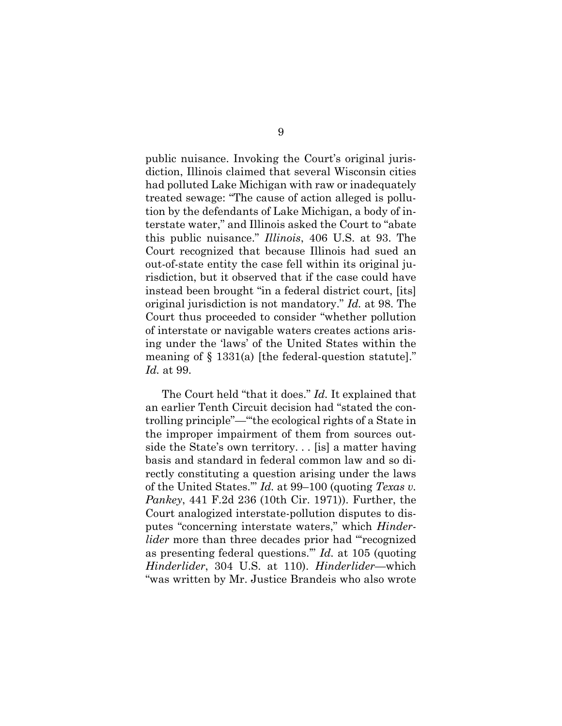public nuisance. Invoking the Court's original jurisdiction, Illinois claimed that several Wisconsin cities had polluted Lake Michigan with raw or inadequately treated sewage: "The cause of action alleged is pollution by the defendants of Lake Michigan, a body of interstate water," and Illinois asked the Court to "abate this public nuisance." *Illinois*, 406 U.S. at 93. The Court recognized that because Illinois had sued an out-of-state entity the case fell within its original jurisdiction, but it observed that if the case could have instead been brought "in a federal district court, [its] original jurisdiction is not mandatory." *Id.* at 98. The Court thus proceeded to consider "whether pollution of interstate or navigable waters creates actions arising under the 'laws' of the United States within the meaning of  $\S$  1331(a) [the federal-question statute]." *Id.* at 99.

<span id="page-14-0"></span>The Court held "that it does." *Id.* It explained that an earlier Tenth Circuit decision had "stated the controlling principle"—"'the ecological rights of a State in the improper impairment of them from sources outside the State's own territory. . . [is] a matter having basis and standard in federal common law and so directly constituting a question arising under the laws of the United States.'" *Id.* at 99–100 (quoting *Texas v. Pankey*, 441 F.2d 236 (10th Cir. 1971)). Further, the Court analogized interstate-pollution disputes to disputes "concerning interstate waters," which *Hinderlider* more than three decades prior had "recognized as presenting federal questions.'" *Id.* at 105 (quoting *Hinderlider*, 304 U.S. at 110). *Hinderlider*—which "was written by Mr. Justice Brandeis who also wrote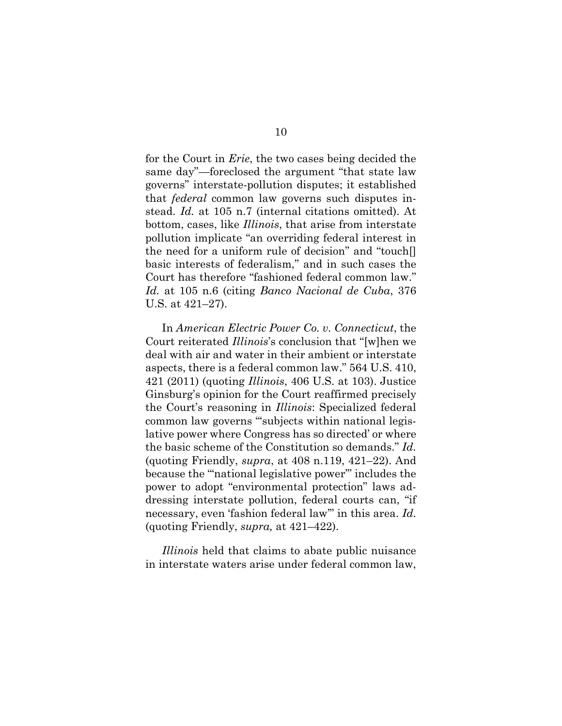for the Court in *Erie*, the two cases being decided the same day"—foreclosed the argument "that state law governs" interstate-pollution disputes; it established that *federal* common law governs such disputes instead. *Id.* at 105 n.7 (internal citations omitted). At bottom, cases, like *Illinois*, that arise from interstate pollution implicate "an overriding federal interest in the need for a uniform rule of decision" and "touch[] basic interests of federalism," and in such cases the Court has therefore "fashioned federal common law." *Id.* at 105 n.6 (citing *Banco Nacional de Cuba*, 376 U.S. at 421–27).

<span id="page-15-0"></span>In *American Electric Power Co. v. Connecticut*, the Court reiterated *Illinois*'s conclusion that "[w]hen we deal with air and water in their ambient or interstate aspects, there is a federal common law." 564 U.S. 410, 421 (2011) (quoting *Illinois*, 406 U.S. at 103). Justice Ginsburg's opinion for the Court reaffirmed precisely the Court's reasoning in *Illinois*: Specialized federal common law governs "'subjects within national legislative power where Congress has so directed' or where the basic scheme of the Constitution so demands." *Id.*  (quoting Friendly, *supra*, at 408 n.119, 421–22). And because the "'national legislative power'" includes the power to adopt "environmental protection" laws addressing interstate pollution, federal courts can, "if necessary, even 'fashion federal law'" in this area. *Id.* (quoting Friendly, *supra,* at 421–422).

*Illinois* held that claims to abate public nuisance in interstate waters arise under federal common law,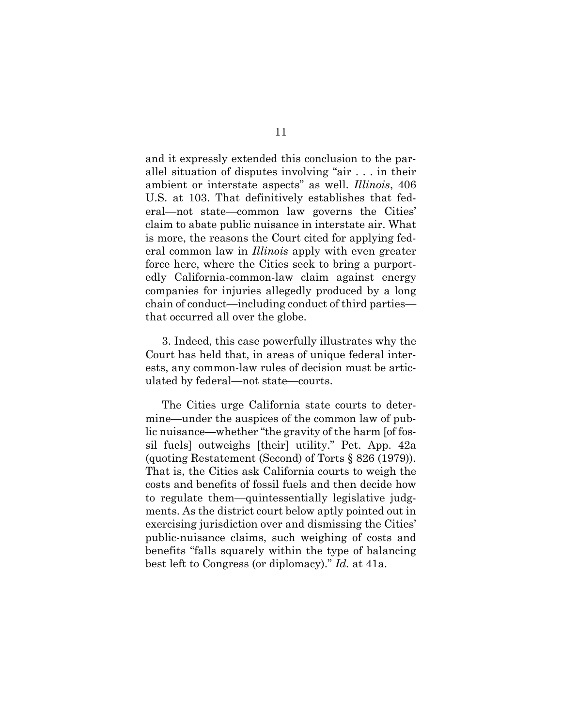and it expressly extended this conclusion to the parallel situation of disputes involving "air . . . in their ambient or interstate aspects" as well. *Illinois*, 406 U.S. at 103. That definitively establishes that federal—not state—common law governs the Cities' claim to abate public nuisance in interstate air. What is more, the reasons the Court cited for applying federal common law in *Illinois* apply with even greater force here, where the Cities seek to bring a purportedly California-common-law claim against energy companies for injuries allegedly produced by a long chain of conduct—including conduct of third parties that occurred all over the globe.

3. Indeed, this case powerfully illustrates why the Court has held that, in areas of unique federal interests, any common-law rules of decision must be articulated by federal—not state—courts.

The Cities urge California state courts to determine—under the auspices of the common law of public nuisance—whether "the gravity of the harm [of fossil fuels] outweighs [their] utility." Pet. App. 42a (quoting Restatement (Second) of Torts § 826 (1979)). That is, the Cities ask California courts to weigh the costs and benefits of fossil fuels and then decide how to regulate them—quintessentially legislative judgments. As the district court below aptly pointed out in exercising jurisdiction over and dismissing the Cities' public-nuisance claims, such weighing of costs and benefits "falls squarely within the type of balancing best left to Congress (or diplomacy)." *Id.* at 41a.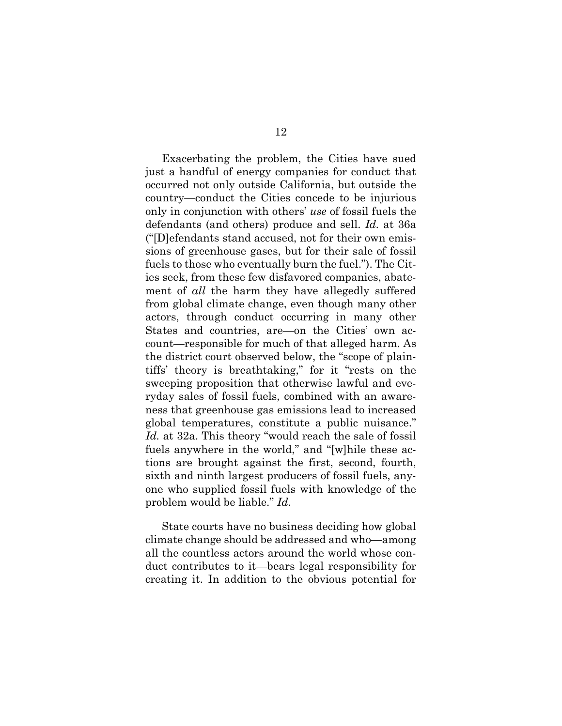Exacerbating the problem, the Cities have sued just a handful of energy companies for conduct that occurred not only outside California, but outside the country—conduct the Cities concede to be injurious only in conjunction with others' *use* of fossil fuels the defendants (and others) produce and sell. *Id.* at 36a ("[D]efendants stand accused, not for their own emissions of greenhouse gases, but for their sale of fossil fuels to those who eventually burn the fuel."). The Cities seek, from these few disfavored companies, abatement of *all* the harm they have allegedly suffered from global climate change, even though many other actors, through conduct occurring in many other States and countries, are—on the Cities' own account—responsible for much of that alleged harm. As the district court observed below, the "scope of plaintiffs' theory is breathtaking," for it "rests on the sweeping proposition that otherwise lawful and everyday sales of fossil fuels, combined with an awareness that greenhouse gas emissions lead to increased global temperatures, constitute a public nuisance." *Id.* at 32a. This theory "would reach the sale of fossil fuels anywhere in the world," and "[w]hile these actions are brought against the first, second, fourth, sixth and ninth largest producers of fossil fuels, anyone who supplied fossil fuels with knowledge of the problem would be liable." *Id.*

State courts have no business deciding how global climate change should be addressed and who—among all the countless actors around the world whose conduct contributes to it—bears legal responsibility for creating it. In addition to the obvious potential for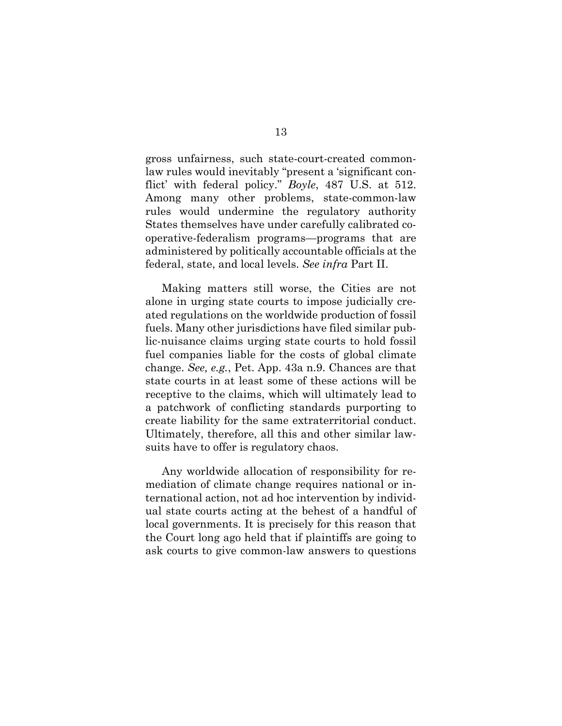gross unfairness, such state-court-created commonlaw rules would inevitably "present a 'significant conflict' with federal policy." *Boyle*, 487 U.S. at 512. Among many other problems, state-common-law rules would undermine the regulatory authority States themselves have under carefully calibrated cooperative-federalism programs—programs that are administered by politically accountable officials at the federal, state, and local levels. *See infra* Part II.

Making matters still worse, the Cities are not alone in urging state courts to impose judicially created regulations on the worldwide production of fossil fuels. Many other jurisdictions have filed similar public-nuisance claims urging state courts to hold fossil fuel companies liable for the costs of global climate change. *See, e.g.*, Pet. App. 43a n.9. Chances are that state courts in at least some of these actions will be receptive to the claims, which will ultimately lead to a patchwork of conflicting standards purporting to create liability for the same extraterritorial conduct. Ultimately, therefore, all this and other similar lawsuits have to offer is regulatory chaos.

Any worldwide allocation of responsibility for remediation of climate change requires national or international action, not ad hoc intervention by individual state courts acting at the behest of a handful of local governments. It is precisely for this reason that the Court long ago held that if plaintiffs are going to ask courts to give common-law answers to questions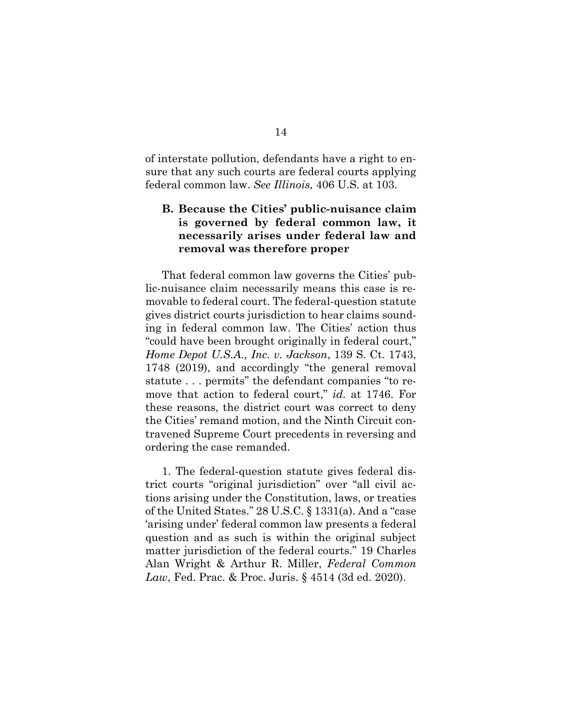of interstate pollution, defendants have a right to ensure that any such courts are federal courts applying federal common law. *See Illinois*, 406 U.S. at 103.

## **B. Because the Cities' public-nuisance claim is governed by federal common law, it necessarily arises under federal law and removal was therefore proper**

<span id="page-19-0"></span>That federal common law governs the Cities' public-nuisance claim necessarily means this case is removable to federal court. The federal-question statute gives district courts jurisdiction to hear claims sounding in federal common law. The Cities' action thus "could have been brought originally in federal court," *Home Depot U.S.A., Inc. v. Jackson*, 139 S. Ct. 1743, 1748 (2019), and accordingly "the general removal statute . . . permits" the defendant companies "to remove that action to federal court," *id.* at 1746. For these reasons, the district court was correct to deny the Cities' remand motion, and the Ninth Circuit contravened Supreme Court precedents in reversing and ordering the case remanded.

<span id="page-19-2"></span><span id="page-19-1"></span>1. The federal-question statute gives federal district courts "original jurisdiction" over "all civil actions arising under the Constitution, laws, or treaties of the United States." 28 U.S.C. § 1331(a). And a "case 'arising under' federal common law presents a federal question and as such is within the original subject matter jurisdiction of the federal courts." 19 Charles Alan Wright & Arthur R. Miller, *Federal Common Law*, Fed. Prac. & Proc. Juris. § 4514 (3d ed. 2020).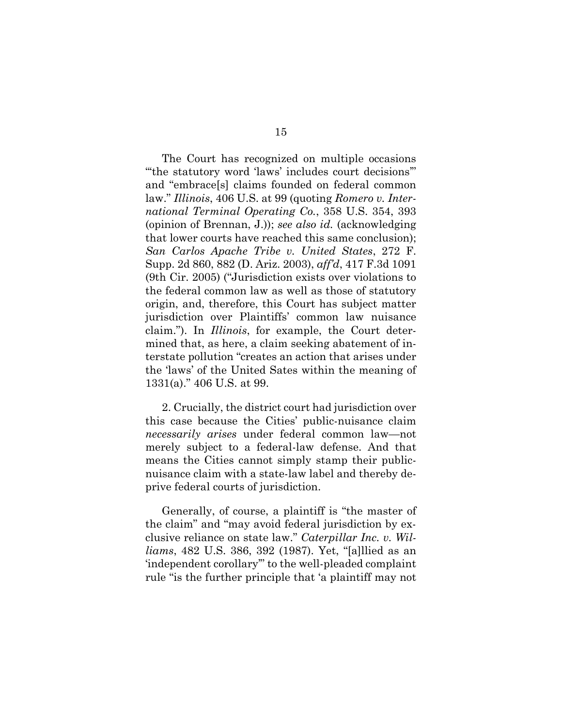<span id="page-20-1"></span>The Court has recognized on multiple occasions "'the statutory word 'laws' includes court decisions'" and "embrace[s] claims founded on federal common law." *Illinois*, 406 U.S. at 99 (quoting *Romero v. International Terminal Operating Co.*, 358 U.S. 354, 393 (opinion of Brennan, J.)); *see also id.* (acknowledging that lower courts have reached this same conclusion); *San Carlos Apache Tribe v. United States*, 272 F. Supp. 2d 860, 882 (D. Ariz. 2003), *aff'd*, 417 F.3d 1091 (9th Cir. 2005) ("Jurisdiction exists over violations to the federal common law as well as those of statutory origin, and, therefore, this Court has subject matter jurisdiction over Plaintiffs' common law nuisance claim."). In *Illinois*, for example, the Court determined that, as here, a claim seeking abatement of interstate pollution "creates an action that arises under the 'laws' of the United Sates within the meaning of 1331(a)." 406 U.S. at 99.

2. Crucially, the district court had jurisdiction over this case because the Cities' public-nuisance claim *necessarily arises* under federal common law—not merely subject to a federal-law defense. And that means the Cities cannot simply stamp their publicnuisance claim with a state-law label and thereby deprive federal courts of jurisdiction.

<span id="page-20-0"></span>Generally, of course, a plaintiff is "the master of the claim" and "may avoid federal jurisdiction by exclusive reliance on state law." *Caterpillar Inc. v. Williams*, 482 U.S. 386, 392 (1987). Yet, "[a]llied as an 'independent corollary'" to the well-pleaded complaint rule "is the further principle that 'a plaintiff may not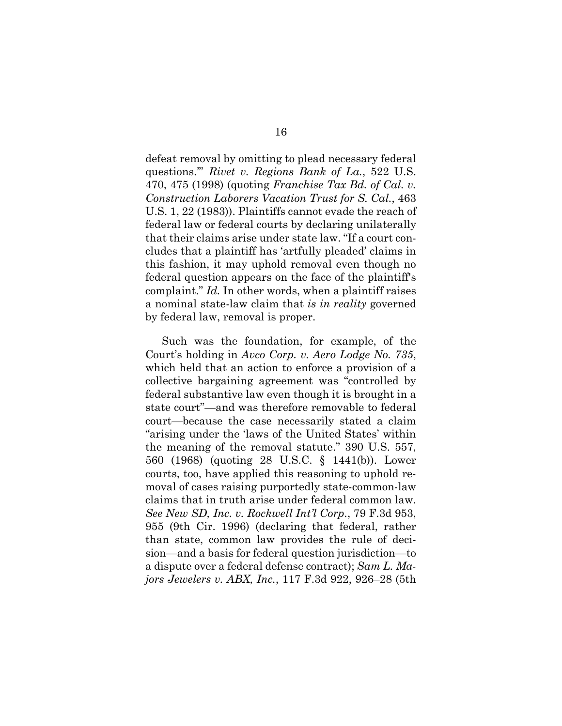<span id="page-21-2"></span>defeat removal by omitting to plead necessary federal questions.'" *Rivet v. Regions Bank of La.*, 522 U.S. 470, 475 (1998) (quoting *Franchise Tax Bd. of Cal. v. Construction Laborers Vacation Trust for S. Cal.*, 463 U.S. 1, 22 (1983)). Plaintiffs cannot evade the reach of federal law or federal courts by declaring unilaterally that their claims arise under state law. "If a court concludes that a plaintiff has 'artfully pleaded' claims in this fashion, it may uphold removal even though no federal question appears on the face of the plaintiff's complaint." *Id.* In other words, when a plaintiff raises a nominal state-law claim that *is in reality* governed by federal law, removal is proper.

<span id="page-21-3"></span><span id="page-21-1"></span><span id="page-21-0"></span>Such was the foundation, for example, of the Court's holding in *Avco Corp. v. Aero Lodge No. 735*, which held that an action to enforce a provision of a collective bargaining agreement was "controlled by federal substantive law even though it is brought in a state court"—and was therefore removable to federal court—because the case necessarily stated a claim "arising under the 'laws of the United States' within the meaning of the removal statute." 390 U.S. 557, 560 (1968) (quoting 28 U.S.C. § 1441(b)). Lower courts, too, have applied this reasoning to uphold removal of cases raising purportedly state-common-law claims that in truth arise under federal common law. *See New SD, Inc. v. Rockwell Int'l Corp.*, 79 F.3d 953, 955 (9th Cir. 1996) (declaring that federal, rather than state, common law provides the rule of decision—and a basis for federal question jurisdiction—to a dispute over a federal defense contract); *Sam L. Majors Jewelers v. ABX, Inc.*, 117 F.3d 922, 926–28 (5th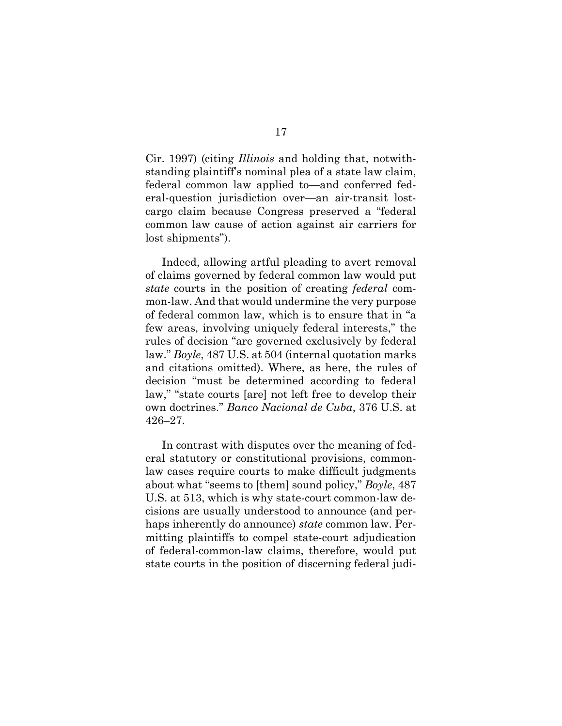Cir. 1997) (citing *Illinois* and holding that, notwithstanding plaintiff's nominal plea of a state law claim, federal common law applied to—and conferred federal-question jurisdiction over—an air-transit lostcargo claim because Congress preserved a "federal common law cause of action against air carriers for lost shipments").

Indeed, allowing artful pleading to avert removal of claims governed by federal common law would put *state* courts in the position of creating *federal* common-law. And that would undermine the very purpose of federal common law, which is to ensure that in "a few areas, involving uniquely federal interests," the rules of decision "are governed exclusively by federal law." *Boyle*, 487 U.S. at 504 (internal quotation marks and citations omitted). Where, as here, the rules of decision "must be determined according to federal law," "state courts [are] not left free to develop their own doctrines." *Banco Nacional de Cuba*, 376 U.S. at 426–27.

<span id="page-22-0"></span>In contrast with disputes over the meaning of federal statutory or constitutional provisions, commonlaw cases require courts to make difficult judgments about what "seems to [them] sound policy," *Boyle*, 487 U.S. at 513, which is why state-court common-law decisions are usually understood to announce (and perhaps inherently do announce) *state* common law. Permitting plaintiffs to compel state-court adjudication of federal-common-law claims, therefore, would put state courts in the position of discerning federal judi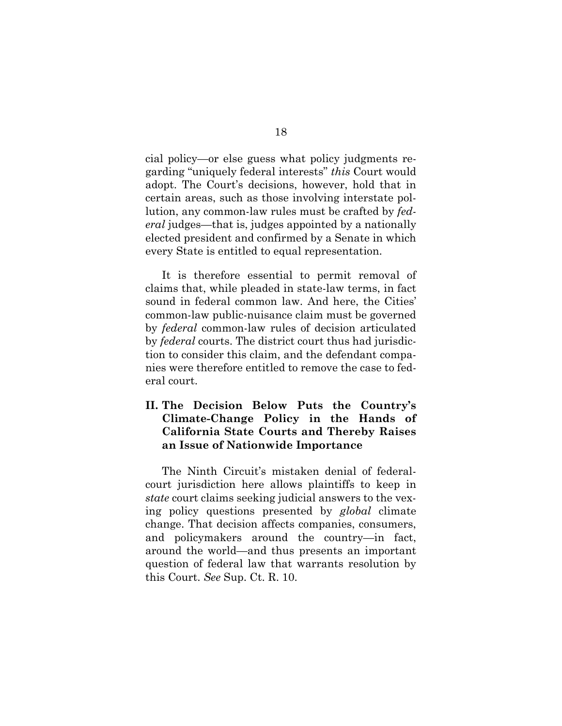cial policy—or else guess what policy judgments regarding "uniquely federal interests" *this* Court would adopt. The Court's decisions, however, hold that in certain areas, such as those involving interstate pollution, any common-law rules must be crafted by *federal* judges—that is, judges appointed by a nationally elected president and confirmed by a Senate in which every State is entitled to equal representation.

It is therefore essential to permit removal of claims that, while pleaded in state-law terms, in fact sound in federal common law. And here, the Cities' common-law public-nuisance claim must be governed by *federal* common-law rules of decision articulated by *federal* courts. The district court thus had jurisdiction to consider this claim, and the defendant companies were therefore entitled to remove the case to federal court.

## **II. The Decision Below Puts the Country's Climate-Change Policy in the Hands of California State Courts and Thereby Raises an Issue of Nationwide Importance**

<span id="page-23-0"></span>The Ninth Circuit's mistaken denial of federalcourt jurisdiction here allows plaintiffs to keep in *state* court claims seeking judicial answers to the vexing policy questions presented by *global* climate change. That decision affects companies, consumers, and policymakers around the country—in fact, around the world—and thus presents an important question of federal law that warrants resolution by this Court. *See* Sup. Ct. R. 10.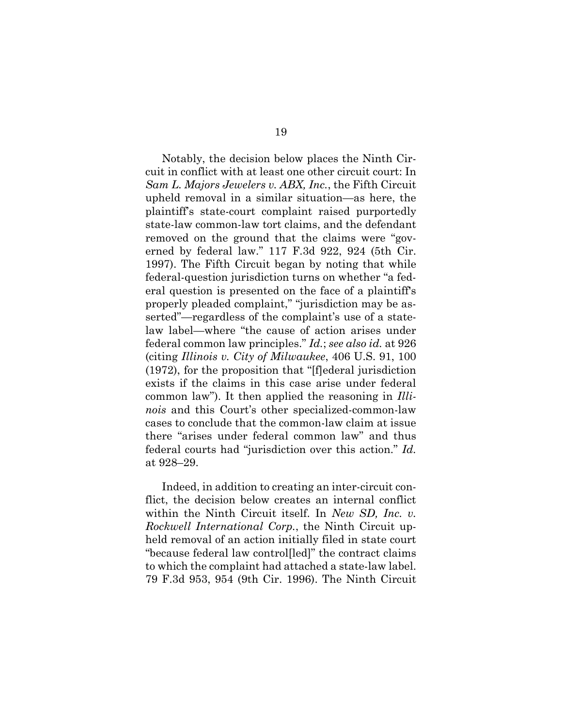<span id="page-24-0"></span>Notably, the decision below places the Ninth Circuit in conflict with at least one other circuit court: In *Sam L. Majors Jewelers v. ABX, Inc.*, the Fifth Circuit upheld removal in a similar situation—as here, the plaintiff's state-court complaint raised purportedly state-law common-law tort claims, and the defendant removed on the ground that the claims were "governed by federal law." 117 F.3d 922, 924 (5th Cir. 1997). The Fifth Circuit began by noting that while federal-question jurisdiction turns on whether "a federal question is presented on the face of a plaintiff's properly pleaded complaint," "jurisdiction may be asserted"—regardless of the complaint's use of a statelaw label—where "the cause of action arises under federal common law principles." *Id.*; *see also id.* at 926 (citing *Illinois v. City of Milwaukee*, 406 U.S. 91, 100 (1972), for the proposition that "[f]ederal jurisdiction exists if the claims in this case arise under federal common law"). It then applied the reasoning in *Illinois* and this Court's other specialized-common-law cases to conclude that the common-law claim at issue there "arises under federal common law" and thus federal courts had "jurisdiction over this action." *Id.*  at 928–29.

Indeed, in addition to creating an inter-circuit conflict, the decision below creates an internal conflict within the Ninth Circuit itself. In *New SD, Inc. v. Rockwell International Corp.*, the Ninth Circuit upheld removal of an action initially filed in state court "because federal law control[led]" the contract claims to which the complaint had attached a state-law label. 79 F.3d 953, 954 (9th Cir. 1996). The Ninth Circuit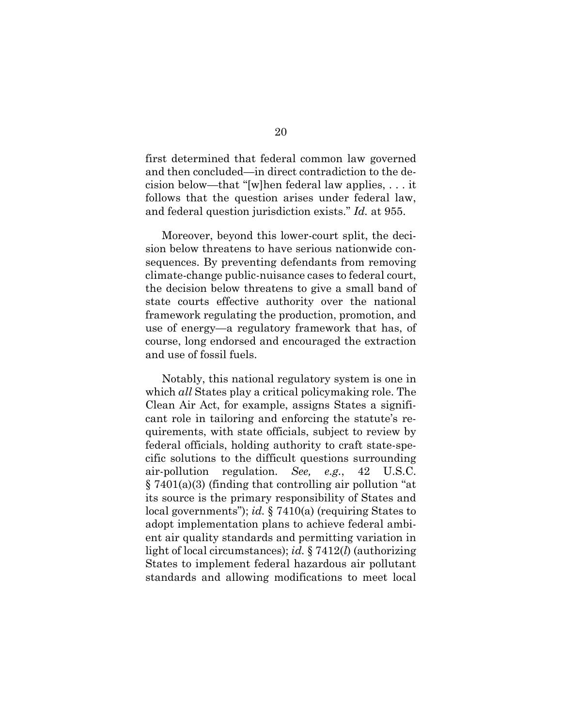first determined that federal common law governed and then concluded—in direct contradiction to the decision below—that "[w]hen federal law applies, . . . it follows that the question arises under federal law, and federal question jurisdiction exists." *Id.* at 955.

Moreover, beyond this lower-court split, the decision below threatens to have serious nationwide consequences. By preventing defendants from removing climate-change public-nuisance cases to federal court, the decision below threatens to give a small band of state courts effective authority over the national framework regulating the production, promotion, and use of energy—a regulatory framework that has, of course, long endorsed and encouraged the extraction and use of fossil fuels.

<span id="page-25-0"></span>Notably, this national regulatory system is one in which *all* States play a critical policymaking role. The Clean Air Act, for example, assigns States a significant role in tailoring and enforcing the statute's requirements, with state officials, subject to review by federal officials, holding authority to craft state-specific solutions to the difficult questions surrounding air-pollution regulation. *See, e.g.*, 42 U.S.C. § 7401(a)(3) (finding that controlling air pollution "at its source is the primary responsibility of States and local governments"); *id.* § 7410(a) (requiring States to adopt implementation plans to achieve federal ambient air quality standards and permitting variation in light of local circumstances); *id.* § 7412(*l*) (authorizing States to implement federal hazardous air pollutant standards and allowing modifications to meet local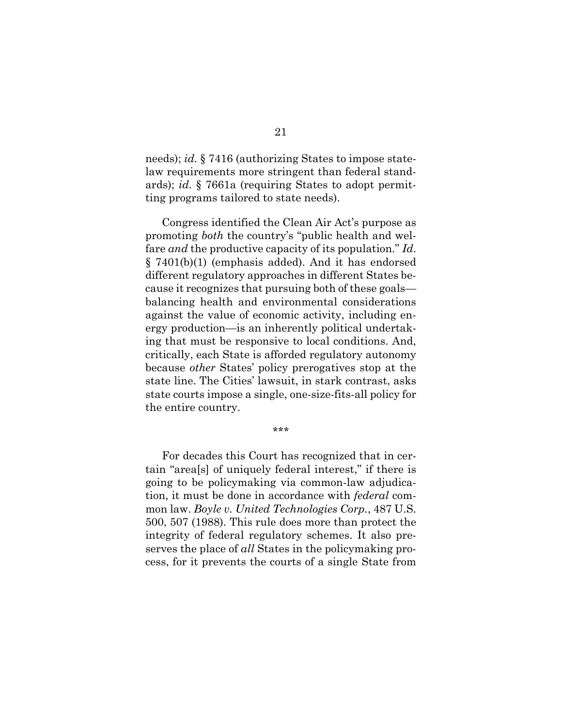<span id="page-26-1"></span><span id="page-26-0"></span>needs); *id.* § 7416 (authorizing States to impose statelaw requirements more stringent than federal standards); *id.* § 7661a (requiring States to adopt permitting programs tailored to state needs).

Congress identified the Clean Air Act's purpose as promoting *both* the country's "public health and welfare *and* the productive capacity of its population." *Id*. § 7401(b)(1) (emphasis added). And it has endorsed different regulatory approaches in different States because it recognizes that pursuing both of these goals balancing health and environmental considerations against the value of economic activity, including energy production—is an inherently political undertaking that must be responsive to local conditions. And, critically, each State is afforded regulatory autonomy because *other* States' policy prerogatives stop at the state line. The Cities' lawsuit, in stark contrast, asks state courts impose a single, one-size-fits-all policy for the entire country.

\*\*\*

For decades this Court has recognized that in certain "area[s] of uniquely federal interest," if there is going to be policymaking via common-law adjudication, it must be done in accordance with *federal* common law. *Boyle v. United Technologies Corp.*, 487 U.S. 500, 507 (1988). This rule does more than protect the integrity of federal regulatory schemes. It also preserves the place of *all* States in the policymaking process, for it prevents the courts of a single State from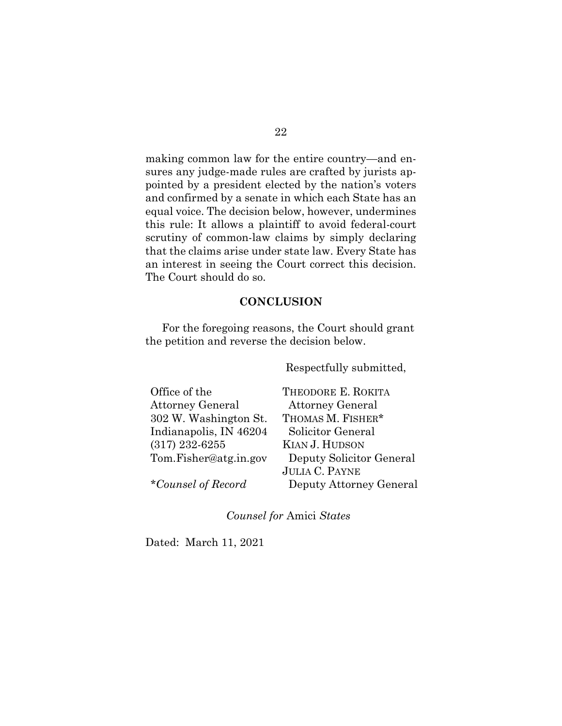making common law for the entire country—and ensures any judge-made rules are crafted by jurists appointed by a president elected by the nation's voters and confirmed by a senate in which each State has an equal voice. The decision below, however, undermines this rule: It allows a plaintiff to avoid federal-court scrutiny of common-law claims by simply declaring that the claims arise under state law. Every State has an interest in seeing the Court correct this decision. The Court should do so.

### **CONCLUSION**

For the foregoing reasons, the Court should grant the petition and reverse the decision below.

Respectfully submitted,

| Office of the          | <b>THEODO</b>                       |
|------------------------|-------------------------------------|
| Attorney General       | Attorn                              |
| 302 W. Washington St.  | <b>THOMAS</b>                       |
| Indianapolis, IN 46204 | Solicito                            |
| $(317)$ 232-6255       | KIAN J.                             |
| Tom.Fisher@atg.in.gov  | Deputy                              |
|                        | $\Gamma$ at $\Gamma$ and $\Gamma$ . |

*\*Counsel of Record*

RE E. ROKITA ey General M. FISHER\* or General **HUDSON** y Solicitor General JULIA C. PAYNE Deputy Attorney General

*Counsel for* Amici *States*

Dated: March 11, 2021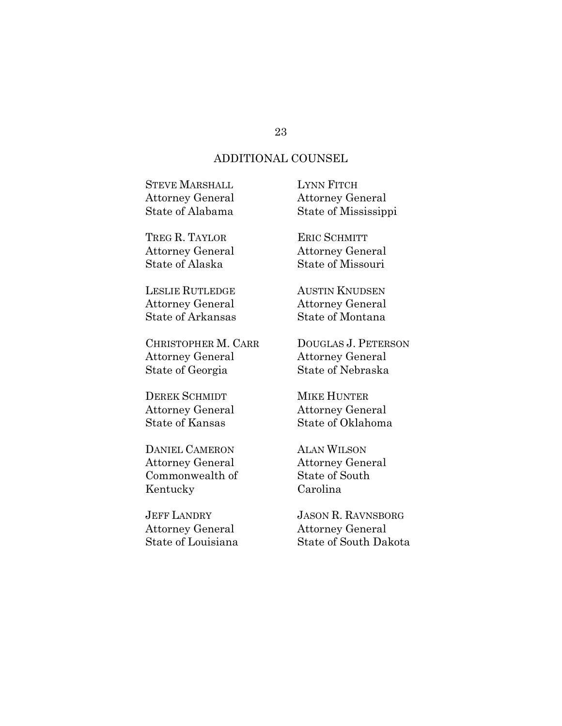# ADDITIONAL COUNSEL

| <b>STEVE MARSHALL</b><br><b>Attorney General</b> | LYNN FITCH<br><b>Attorney General</b> |
|--------------------------------------------------|---------------------------------------|
| State of Alabama                                 | State of Mississippi                  |
| TREG R. TAYLOR                                   | <b>ERIC SCHMITT</b>                   |
| <b>Attorney General</b>                          | <b>Attorney General</b>               |
| State of Alaska                                  | State of Missouri                     |
| <b>LESLIE RUTLEDGE</b>                           | <b>AUSTIN KNUDSEN</b>                 |
| <b>Attorney General</b>                          | <b>Attorney General</b>               |
| <b>State of Arkansas</b>                         | State of Montana                      |
| CHRISTOPHER M. CARR                              | DOUGLAS J. PETERSON                   |
| <b>Attorney General</b>                          | <b>Attorney General</b>               |
| State of Georgia                                 | <b>State of Nebraska</b>              |
| <b>DEREK SCHMIDT</b>                             | MIKE HUNTER                           |

Attorney General State of Kansas

DANIEL CAMERON Attorney General Commonwealth of Kentucky

JEFF LANDRY Attorney General State of Louisiana MIKE HUNTER Attorney General State of Oklahoma

ALAN WILSON Attorney General State of South Carolina

JASON R. RAVNSBORG Attorney General State of South Dakota

#### 23